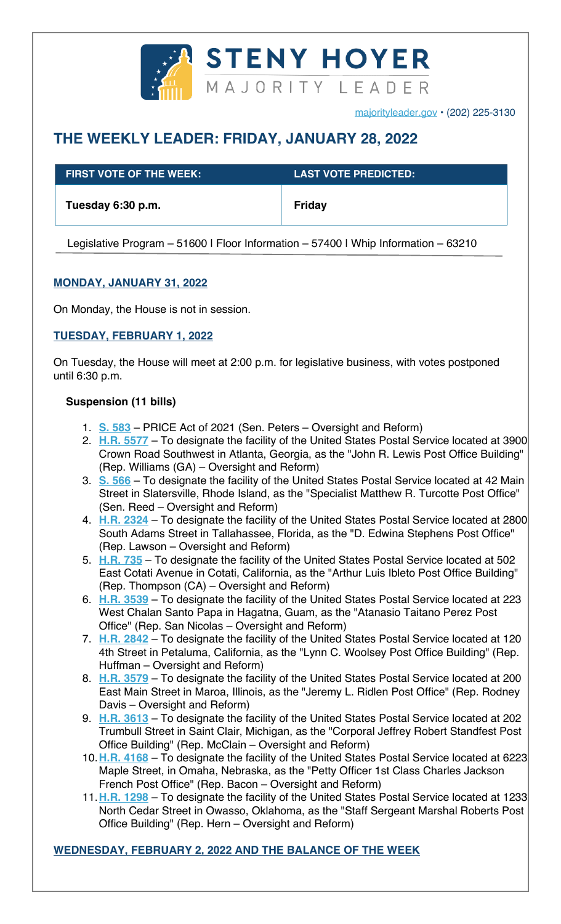

majorityleader.gov • (202) 225-3130

# **THE WEEKLY LEADER: FRIDAY, JANUARY 28, 2022**

| $\,$ FIRST VOTE OF THE WEEK: $\,$ | <b>LAST VOTE PREDICTED:</b> |
|-----------------------------------|-----------------------------|
| Tuesday 6:30 p.m.                 | Friday                      |

Legislative Program - 51600 | Floor Information - 57400 | Whip Information - 63210

# **MONDAY, JANUARY 31, 2022**

On Monday, the House is not in session.

# **TUESDAY, FEBRUARY 1, 2022**

On Tuesday, the House will meet at 2:00 p.m. for legislative business, with votes postponed until 6:30 p.m.

## **Suspension (11 bills)**

- 1. **S. 583** PRICE Act of 2021 (Sen. Peters Oversight and Reform)
- 2. **H.R. 5577** To designate the facility of the United States Postal Service located at 3900 Crown Road Southwest in Atlanta, Georgia, as the "John R. Lewis Post Office Building" (Rep. Williams (GA) – Oversight and Reform)
- 3. **S. 566** To designate the facility of the United States Postal Service located at 42 Main Street in Slatersville, Rhode Island, as the "Specialist Matthew R. Turcotte Post Office" (Sen. Reed – Oversight and Reform)
- 4. **H.R. 2324** To designate the facility of the United States Postal Service located at 2800 South Adams Street in Tallahassee, Florida, as the "D. Edwina Stephens Post Office" (Rep. Lawson – Oversight and Reform)
- 5. **H.R. 735** To designate the facility of the United States Postal Service located at 502 East Cotati Avenue in Cotati, California, as the "Arthur Luis Ibleto Post Office Building" (Rep. Thompson (CA) – Oversight and Reform)
- 6. **H.R. 3539** To designate the facility of the United States Postal Service located at 223 West Chalan Santo Papa in Hagatna, Guam, as the "Atanasio Taitano Perez Post Office" (Rep. San Nicolas – Oversight and Reform)
- 7. **H.R. 2842** To designate the facility of the United States Postal Service located at 120 4th Street in Petaluma, California, as the "Lynn C. Woolsey Post Office Building" (Rep. Huffman – Oversight and Reform)
- 8. **H.R. 3579** To designate the facility of the United States Postal Service located at 200 East Main Street in Maroa, Illinois, as the "Jeremy L. Ridlen Post Office" (Rep. Rodney Davis – Oversight and Reform)
- 9. **H.R. 3613** To designate the facility of the United States Postal Service located at 202 Trumbull Street in Saint Clair, Michigan, as the "Corporal Jeffrey Robert Standfest Post Office Building" (Rep. McClain – Oversight and Reform)
- 10.**H.R. 4168** To designate the facility of the United States Postal Service located at 6223 Maple Street, in Omaha, Nebraska, as the "Petty Officer 1st Class Charles Jackson French Post Office" (Rep. Bacon – Oversight and Reform)
- 11.**H.R. 1298** To designate the facility of the United States Postal Service located at 1233 North Cedar Street in Owasso, Oklahoma, as the "Staff Sergeant Marshal Roberts Post Office Building" (Rep. Hern – Oversight and Reform)

#### **WEDNESDAY, FEBRUARY 2, 2022 AND THE BALANCE OF THE WEEK**